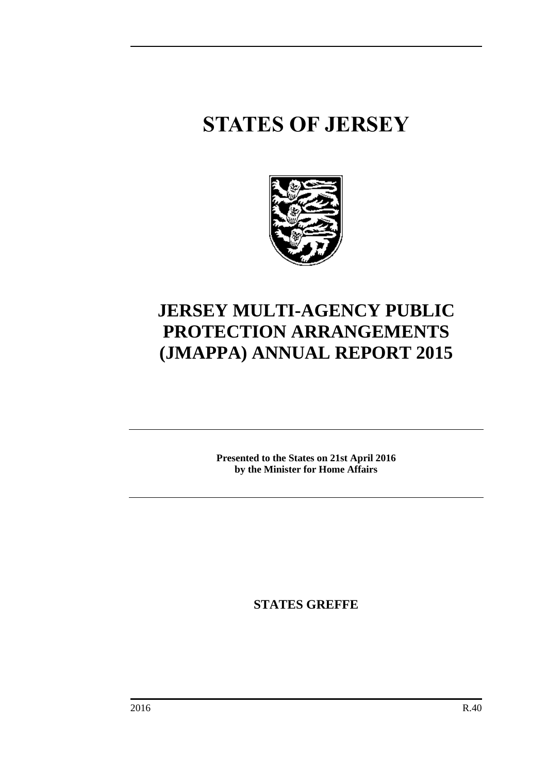# **STATES OF JERSEY**



# **JERSEY MULTI-AGENCY PUBLIC PROTECTION ARRANGEMENTS (JMAPPA) ANNUAL REPORT 2015**

**Presented to the States on 21st April 2016 by the Minister for Home Affairs**

**STATES GREFFE**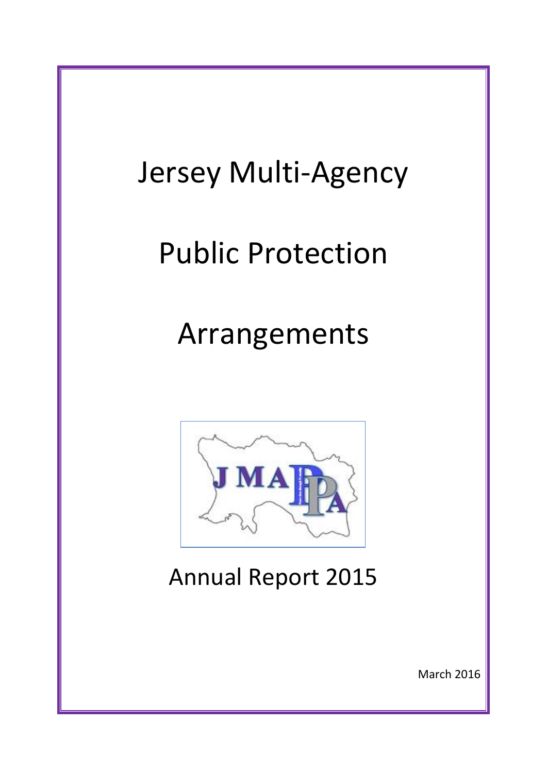# Jersey Multi-Agency Public Protection Arrangements **JMA** Annual Report 2015 March 2016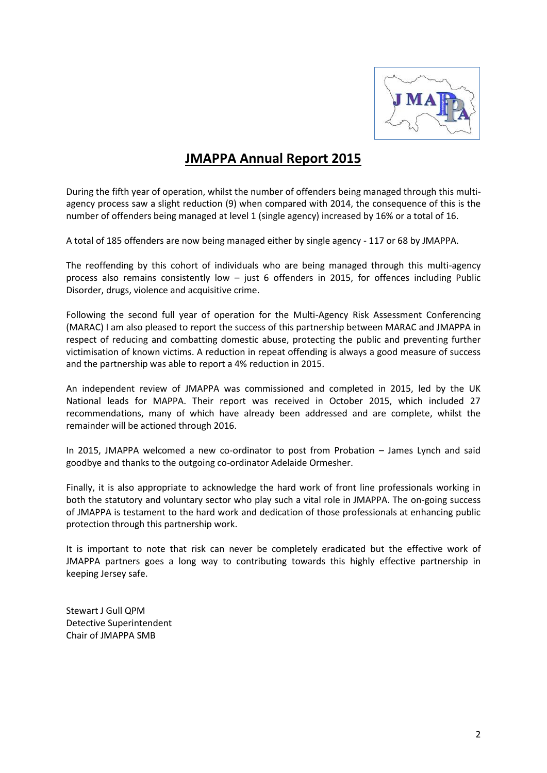

# **JMAPPA Annual Report 2015**

During the fifth year of operation, whilst the number of offenders being managed through this multiagency process saw a slight reduction (9) when compared with 2014, the consequence of this is the number of offenders being managed at level 1 (single agency) increased by 16% or a total of 16.

A total of 185 offenders are now being managed either by single agency - 117 or 68 by JMAPPA.

The reoffending by this cohort of individuals who are being managed through this multi-agency process also remains consistently low – just 6 offenders in 2015, for offences including Public Disorder, drugs, violence and acquisitive crime.

Following the second full year of operation for the Multi-Agency Risk Assessment Conferencing (MARAC) I am also pleased to report the success of this partnership between MARAC and JMAPPA in respect of reducing and combatting domestic abuse, protecting the public and preventing further victimisation of known victims. A reduction in repeat offending is always a good measure of success and the partnership was able to report a 4% reduction in 2015.

An independent review of JMAPPA was commissioned and completed in 2015, led by the UK National leads for MAPPA. Their report was received in October 2015, which included 27 recommendations, many of which have already been addressed and are complete, whilst the remainder will be actioned through 2016.

In 2015, JMAPPA welcomed a new co-ordinator to post from Probation – James Lynch and said goodbye and thanks to the outgoing co-ordinator Adelaide Ormesher.

Finally, it is also appropriate to acknowledge the hard work of front line professionals working in both the statutory and voluntary sector who play such a vital role in JMAPPA. The on-going success of JMAPPA is testament to the hard work and dedication of those professionals at enhancing public protection through this partnership work.

It is important to note that risk can never be completely eradicated but the effective work of JMAPPA partners goes a long way to contributing towards this highly effective partnership in keeping Jersey safe.

Stewart J Gull QPM Detective Superintendent Chair of JMAPPA SMB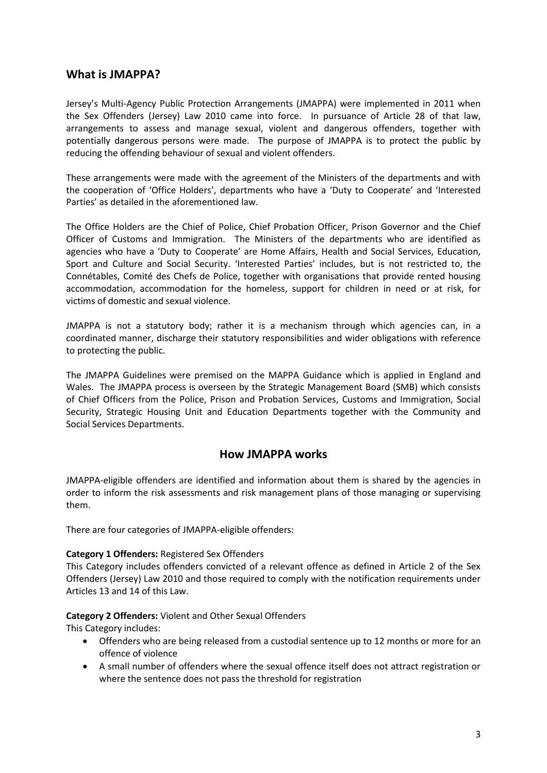#### **What is JMAPPA?**

Jersey's Multi-Agency Public Protection Arrangements (JMAPPA) were implemented in 2011 when the Sex Offenders (Jersey) Law 2010 came into force. In pursuance of Article 28 of that law, arrangements to assess and manage sexual, violent and dangerous offenders, together with potentially dangerous persons were made. The purpose of JMAPPA is to protect the public by reducing the offending behaviour of sexual and violent offenders.

These arrangements were made with the agreement of the Ministers of the departments and with the cooperation of 'Office Holders', departments who have a 'Duty to Cooperate' and 'Interested Parties' as detailed in the aforementioned law.

The Office Holders are the Chief of Police, Chief Probation Officer, Prison Governor and the Chief Officer of Customs and Immigration. The Ministers of the departments who are identified as agencies who have a 'Duty to Cooperate' are Home Affairs, Health and Social Services, Education, Sport and Culture and Social Security. 'Interested Parties' includes, but is not restricted to, the Connétables, Comité des Chefs de Police, together with organisations that provide rented housing accommodation, accommodation for the homeless, support for children in need or at risk, for victims of domestic and sexual violence.

JMAPPA is not a statutory body; rather it is a mechanism through which agencies can, in a coordinated manner, discharge their statutory responsibilities and wider obligations with reference to protecting the public.

The JMAPPA Guidelines were premised on the MAPPA Guidance which is applied in England and Wales. The JMAPPA process is overseen by the Strategic Management Board (SMB) which consists of Chief Officers from the Police, Prison and Probation Services, Customs and Immigration, Social Security, Strategic Housing Unit and Education Departments together with the Community and Social Services Departments.

#### **How JMAPPA works**

JMAPPA-eligible offenders are identified and information about them is shared by the agencies in order to inform the risk assessments and risk management plans of those managing or supervising them.

There are four categories of JMAPPA-eligible offenders:

#### **Category 1 Offenders:** Registered Sex Offenders

This Category includes offenders convicted of a relevant offence as defined in Article 2 of the Sex Offenders (Jersey) Law 2010 and those required to comply with the notification requirements under Articles 13 and 14 of this Law.

#### **Category 2 Offenders:** Violent and Other Sexual Offenders

This Category includes:

- Offenders who are being released from a custodial sentence up to 12 months or more for an offence of violence
- A small number of offenders where the sexual offence itself does not attract registration or where the sentence does not pass the threshold for registration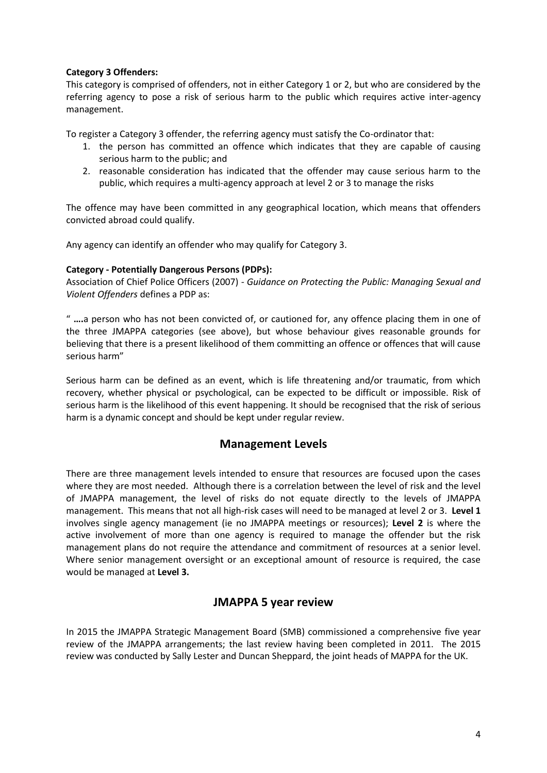#### **Category 3 Offenders:**

This category is comprised of offenders, not in either Category 1 or 2, but who are considered by the referring agency to pose a risk of serious harm to the public which requires active inter-agency management.

To register a Category 3 offender, the referring agency must satisfy the Co-ordinator that:

- 1. the person has committed an offence which indicates that they are capable of causing serious harm to the public; and
- 2. reasonable consideration has indicated that the offender may cause serious harm to the public, which requires a multi-agency approach at level 2 or 3 to manage the risks

The offence may have been committed in any geographical location, which means that offenders convicted abroad could qualify.

Any agency can identify an offender who may qualify for Category 3.

#### **Category - Potentially Dangerous Persons (PDPs):**

Association of Chief Police Officers (2007) *- Guidance on Protecting the Public: Managing Sexual and Violent Offenders* defines a PDP as:

" **….**a person who has not been convicted of, or cautioned for, any offence placing them in one of the three JMAPPA categories (see above), but whose behaviour gives reasonable grounds for believing that there is a present likelihood of them committing an offence or offences that will cause serious harm"

Serious harm can be defined as an event, which is life threatening and/or traumatic, from which recovery, whether physical or psychological, can be expected to be difficult or impossible. Risk of serious harm is the likelihood of this event happening. It should be recognised that the risk of serious harm is a dynamic concept and should be kept under regular review.

#### **Management Levels**

There are three management levels intended to ensure that resources are focused upon the cases where they are most needed. Although there is a correlation between the level of risk and the level of JMAPPA management, the level of risks do not equate directly to the levels of JMAPPA management. This means that not all high-risk cases will need to be managed at level 2 or 3. **Level 1** involves single agency management (ie no JMAPPA meetings or resources); **Level 2** is where the active involvement of more than one agency is required to manage the offender but the risk management plans do not require the attendance and commitment of resources at a senior level. Where senior management oversight or an exceptional amount of resource is required, the case would be managed at **Level 3.**

#### **JMAPPA 5 year review**

In 2015 the JMAPPA Strategic Management Board (SMB) commissioned a comprehensive five year review of the JMAPPA arrangements; the last review having been completed in 2011. The 2015 review was conducted by Sally Lester and Duncan Sheppard, the joint heads of MAPPA for the UK.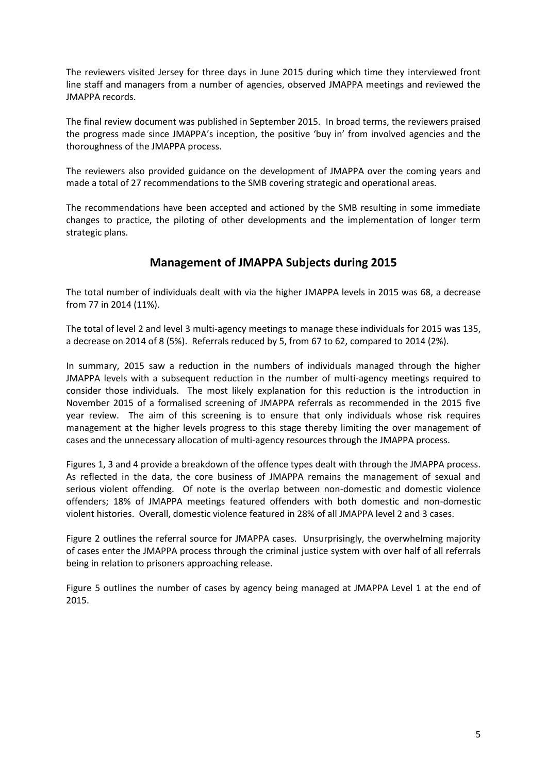The reviewers visited Jersey for three days in June 2015 during which time they interviewed front line staff and managers from a number of agencies, observed JMAPPA meetings and reviewed the JMAPPA records.

The final review document was published in September 2015. In broad terms, the reviewers praised the progress made since JMAPPA's inception, the positive 'buy in' from involved agencies and the thoroughness of the JMAPPA process.

The reviewers also provided guidance on the development of JMAPPA over the coming years and made a total of 27 recommendations to the SMB covering strategic and operational areas.

The recommendations have been accepted and actioned by the SMB resulting in some immediate changes to practice, the piloting of other developments and the implementation of longer term strategic plans.

## **Management of JMAPPA Subjects during 2015**

The total number of individuals dealt with via the higher JMAPPA levels in 2015 was 68, a decrease from 77 in 2014 (11%).

The total of level 2 and level 3 multi-agency meetings to manage these individuals for 2015 was 135, a decrease on 2014 of 8 (5%). Referrals reduced by 5, from 67 to 62, compared to 2014 (2%).

In summary, 2015 saw a reduction in the numbers of individuals managed through the higher JMAPPA levels with a subsequent reduction in the number of multi-agency meetings required to consider those individuals. The most likely explanation for this reduction is the introduction in November 2015 of a formalised screening of JMAPPA referrals as recommended in the 2015 five year review. The aim of this screening is to ensure that only individuals whose risk requires management at the higher levels progress to this stage thereby limiting the over management of cases and the unnecessary allocation of multi-agency resources through the JMAPPA process.

Figures 1, 3 and 4 provide a breakdown of the offence types dealt with through the JMAPPA process. As reflected in the data, the core business of JMAPPA remains the management of sexual and serious violent offending. Of note is the overlap between non-domestic and domestic violence offenders; 18% of JMAPPA meetings featured offenders with both domestic and non-domestic violent histories. Overall, domestic violence featured in 28% of all JMAPPA level 2 and 3 cases.

Figure 2 outlines the referral source for JMAPPA cases. Unsurprisingly, the overwhelming majority of cases enter the JMAPPA process through the criminal justice system with over half of all referrals being in relation to prisoners approaching release.

Figure 5 outlines the number of cases by agency being managed at JMAPPA Level 1 at the end of 2015.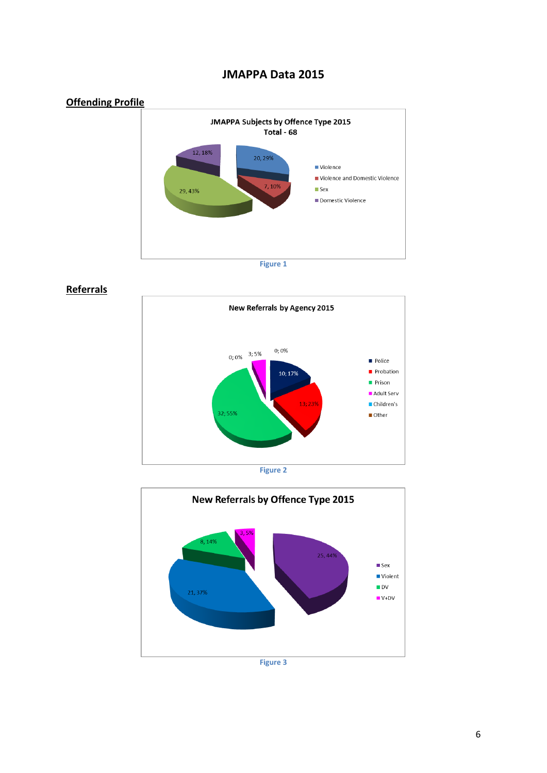

## **JMAPPA Data 2015**

**Referrals**





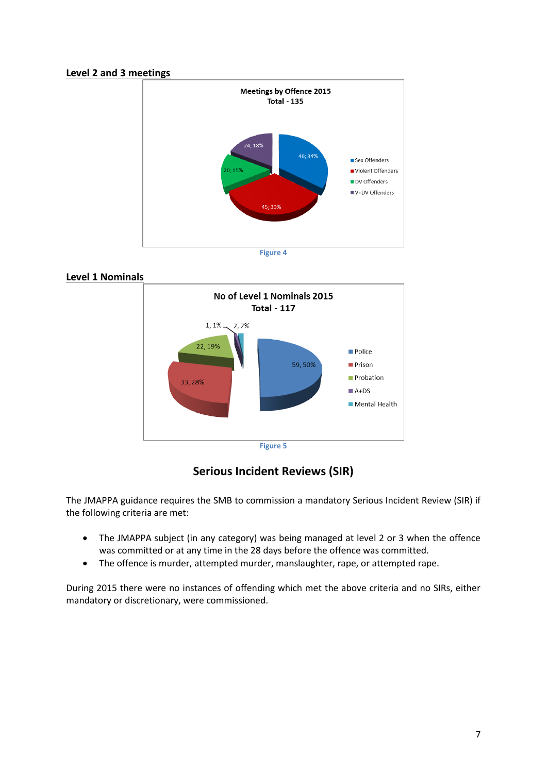#### **Level 2 and 3 meetings**



#### **Level 1 Nominals**



**Serious Incident Reviews (SIR)**

The JMAPPA guidance requires the SMB to commission a mandatory Serious Incident Review (SIR) if the following criteria are met:

- The JMAPPA subject (in any category) was being managed at level 2 or 3 when the offence was committed or at any time in the 28 days before the offence was committed.
- The offence is murder, attempted murder, manslaughter, rape, or attempted rape.

During 2015 there were no instances of offending which met the above criteria and no SIRs, either mandatory or discretionary, were commissioned.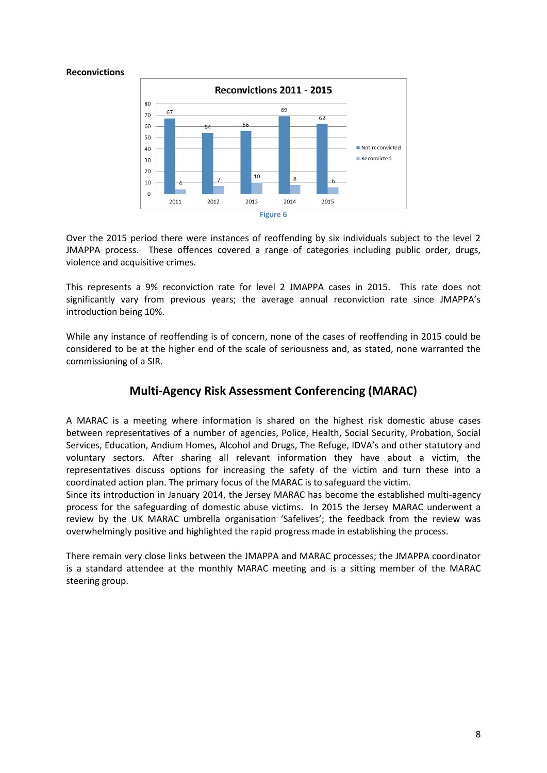#### **Reconvictions**



Over the 2015 period there were instances of reoffending by six individuals subject to the level 2 JMAPPA process. These offences covered a range of categories including public order, drugs, violence and acquisitive crimes.

This represents a 9% reconviction rate for level 2 JMAPPA cases in 2015. This rate does not significantly vary from previous years; the average annual reconviction rate since JMAPPA's introduction being 10%.

While any instance of reoffending is of concern, none of the cases of reoffending in 2015 could be considered to be at the higher end of the scale of seriousness and, as stated, none warranted the commissioning of a SIR.

#### **Multi-Agency Risk Assessment Conferencing (MARAC)**

A MARAC is a meeting where information is shared on the highest risk domestic abuse cases between representatives of a number of agencies, Police, Health, Social Security, Probation, Social Services, Education, Andium Homes, Alcohol and Drugs, The Refuge, IDVA's and other statutory and voluntary sectors. After sharing all relevant information they have about a victim, the representatives discuss options for increasing the safety of the victim and turn these into a coordinated action plan. The primary focus of the MARAC is to safeguard the victim.

Since its introduction in January 2014, the Jersey MARAC has become the established multi-agency process for the safeguarding of domestic abuse victims. In 2015 the Jersey MARAC underwent a review by the UK MARAC umbrella organisation 'Safelives'; the feedback from the review was overwhelmingly positive and highlighted the rapid progress made in establishing the process.

There remain very close links between the JMAPPA and MARAC processes; the JMAPPA coordinator is a standard attendee at the monthly MARAC meeting and is a sitting member of the MARAC steering group.